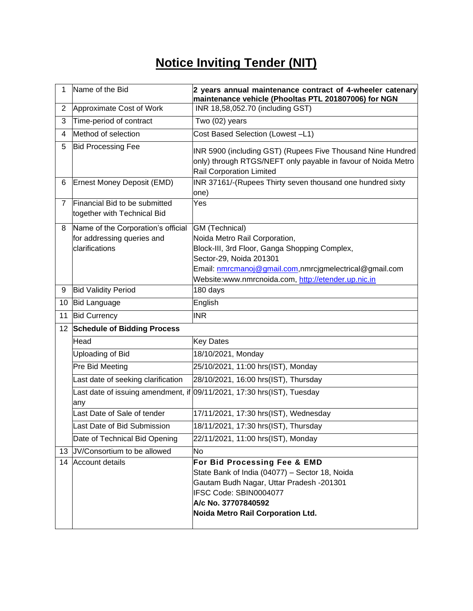## **Notice Inviting Tender (NIT)**

| 1              | Name of the Bid                                              | 2 years annual maintenance contract of 4-wheeler catenary<br>maintenance vehicle (Phooltas PTL 201807006) for NGN                                                                                                |
|----------------|--------------------------------------------------------------|------------------------------------------------------------------------------------------------------------------------------------------------------------------------------------------------------------------|
| $\overline{2}$ | Approximate Cost of Work                                     | INR 18,58,052.70 (including GST)                                                                                                                                                                                 |
| 3              | Time-period of contract                                      | Two (02) years                                                                                                                                                                                                   |
| 4              | Method of selection                                          | Cost Based Selection (Lowest -L1)                                                                                                                                                                                |
| 5              | <b>Bid Processing Fee</b>                                    | INR 5900 (including GST) (Rupees Five Thousand Nine Hundred<br>only) through RTGS/NEFT only payable in favour of Noida Metro<br><b>Rail Corporation Limited</b>                                                  |
| 6              | Ernest Money Deposit (EMD)                                   | INR 37161/-(Rupees Thirty seven thousand one hundred sixty<br>one)                                                                                                                                               |
| 7              | Financial Bid to be submitted<br>together with Technical Bid | Yes                                                                                                                                                                                                              |
| 8              | Name of the Corporation's official                           | GM (Technical)                                                                                                                                                                                                   |
|                | for addressing queries and                                   | Noida Metro Rail Corporation,                                                                                                                                                                                    |
|                | clarifications                                               | Block-III, 3rd Floor, Ganga Shopping Complex,<br>Sector-29, Noida 201301                                                                                                                                         |
|                |                                                              | Email: nmrcmanoj@gmail.com,nmrcjgmelectrical@gmail.com                                                                                                                                                           |
|                |                                                              | Website:www.nmrcnoida.com, http://etender.up.nic.in                                                                                                                                                              |
| 9              | <b>Bid Validity Period</b>                                   | 180 days                                                                                                                                                                                                         |
| 10             | <b>Bid Language</b>                                          | English                                                                                                                                                                                                          |
| 11             | <b>Bid Currency</b>                                          | <b>INR</b>                                                                                                                                                                                                       |
| 12             | <b>Schedule of Bidding Process</b>                           |                                                                                                                                                                                                                  |
|                | Head                                                         | <b>Key Dates</b>                                                                                                                                                                                                 |
|                | Uploading of Bid                                             | 18/10/2021, Monday                                                                                                                                                                                               |
|                | Pre Bid Meeting                                              | 25/10/2021, 11:00 hrs(IST), Monday                                                                                                                                                                               |
|                | Last date of seeking clarification                           | 28/10/2021, 16:00 hrs(IST), Thursday                                                                                                                                                                             |
|                | any                                                          | Last date of issuing amendment, if 09/11/2021, 17:30 hrs(IST), Tuesday                                                                                                                                           |
|                | Last Date of Sale of tender                                  | 17/11/2021, 17:30 hrs(IST), Wednesday                                                                                                                                                                            |
|                | Last Date of Bid Submission                                  | 18/11/2021, 17:30 hrs(IST), Thursday                                                                                                                                                                             |
|                | Date of Technical Bid Opening                                | 22/11/2021, 11:00 hrs(IST), Monday                                                                                                                                                                               |
| 13             | JV/Consortium to be allowed                                  | No                                                                                                                                                                                                               |
| 14             | Account details                                              | For Bid Processing Fee & EMD<br>State Bank of India (04077) - Sector 18, Noida<br>Gautam Budh Nagar, Uttar Pradesh -201301<br>IFSC Code: SBIN0004077<br>A/c No. 37707840592<br>Noida Metro Rail Corporation Ltd. |